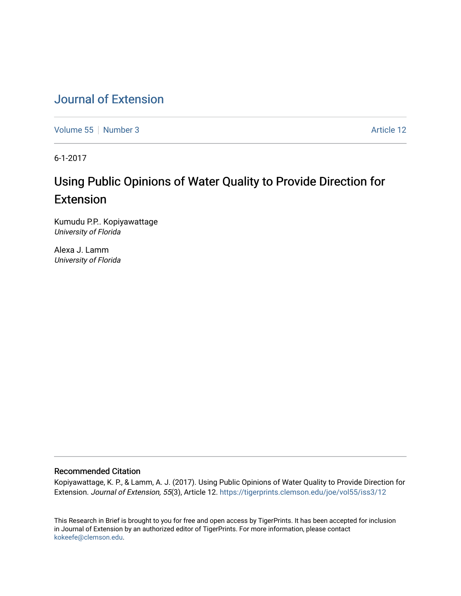# [Journal of Extension](https://tigerprints.clemson.edu/joe)

[Volume 55](https://tigerprints.clemson.edu/joe/vol55) [Number 3](https://tigerprints.clemson.edu/joe/vol55/iss3) Article 12

6-1-2017

# Using Public Opinions of Water Quality to Provide Direction for Extension

Kumudu P.P.. Kopiyawattage University of Florida

Alexa J. Lamm University of Florida

#### Recommended Citation

Kopiyawattage, K. P., & Lamm, A. J. (2017). Using Public Opinions of Water Quality to Provide Direction for Extension. Journal of Extension, 55(3), Article 12. <https://tigerprints.clemson.edu/joe/vol55/iss3/12>

This Research in Brief is brought to you for free and open access by TigerPrints. It has been accepted for inclusion in Journal of Extension by an authorized editor of TigerPrints. For more information, please contact [kokeefe@clemson.edu](mailto:kokeefe@clemson.edu).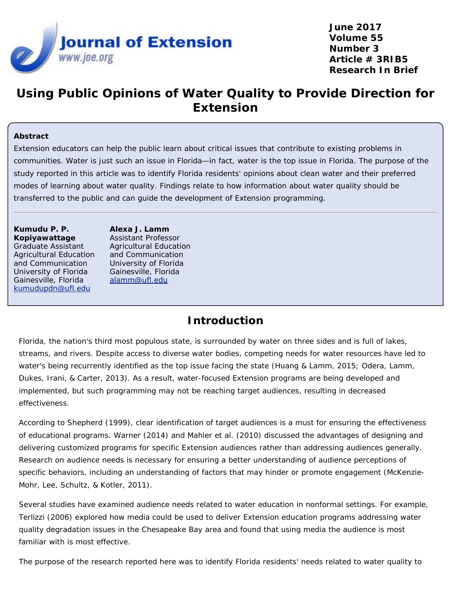

**June 2017 Volume 55 Number 3 Article # 3RIB5 Research In Brief**

# **Using Public Opinions of Water Quality to Provide Direction for Extension**

#### **Abstract**

Extension educators can help the public learn about critical issues that contribute to existing problems in communities. Water is just such an issue in Florida—in fact, water is the top issue in Florida. The purpose of the study reported in this article was to identify Florida residents' opinions about clean water and their preferred modes of learning about water quality. Findings relate to how information about water quality should be transferred to the public and can guide the development of Extension programming.

#### **Kumudu P. P. Kopiyawattage**

Graduate Assistant Agricultural Education and Communication University of Florida Gainesville, Florida [kumudupdn@ufl.edu](mailto:kumudupdn@ufl.edu)

**Alexa J. Lamm** Assistant Professor Agricultural Education and Communication University of Florida Gainesville, Florida [alamm@ufl.edu](mailto:alamm@ufl.edu)

## **Introduction**

Florida, the nation's third most populous state, is surrounded by water on three sides and is full of lakes, streams, and rivers. Despite access to diverse water bodies, competing needs for water resources have led to water's being recurrently identified as the top issue facing the state (Huang & Lamm, 2015; Odera, Lamm, Dukes, Irani, & Carter, 2013). As a result, water-focused Extension programs are being developed and implemented, but such programming may not be reaching target audiences, resulting in decreased effectiveness.

According to Shepherd (1999), clear identification of target audiences is a must for ensuring the effectiveness of educational programs. Warner (2014) and Mahler et al. (2010) discussed the advantages of designing and delivering customized programs for specific Extension audiences rather than addressing audiences generally. Research on audience needs is necessary for ensuring a better understanding of audience perceptions of specific behaviors, including an understanding of factors that may hinder or promote engagement (McKenzie-Mohr, Lee, Schultz, & Kotler, 2011).

Several studies have examined audience needs related to water education in nonformal settings. For example, Terlizzi (2006) explored how media could be used to deliver Extension education programs addressing water quality degradation issues in the Chesapeake Bay area and found that using media the audience is most familiar with is most effective.

The purpose of the research reported here was to identify Florida residents' needs related to water quality to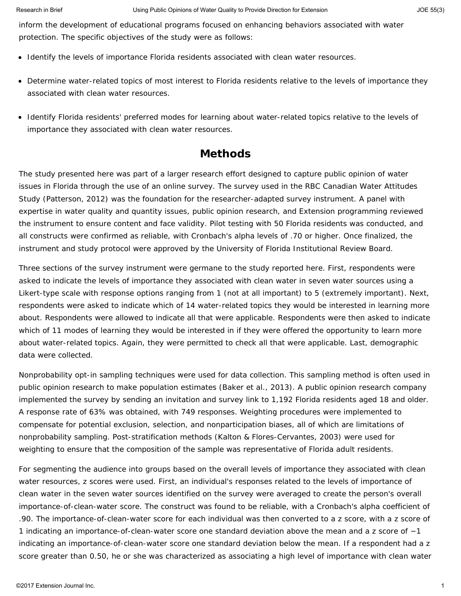inform the development of educational programs focused on enhancing behaviors associated with water protection. The specific objectives of the study were as follows:

- Identify the levels of importance Florida residents associated with clean water resources.
- Determine water-related topics of most interest to Florida residents relative to the levels of importance they associated with clean water resources.
- Identify Florida residents' preferred modes for learning about water-related topics relative to the levels of importance they associated with clean water resources.

# **Methods**

The study presented here was part of a larger research effort designed to capture public opinion of water issues in Florida through the use of an online survey. The survey used in the RBC Canadian Water Attitudes Study (Patterson, 2012) was the foundation for the researcher-adapted survey instrument. A panel with expertise in water quality and quantity issues, public opinion research, and Extension programming reviewed the instrument to ensure content and face validity. Pilot testing with 50 Florida residents was conducted, and all constructs were confirmed as reliable, with Cronbach's alpha levels of .70 or higher. Once finalized, the instrument and study protocol were approved by the University of Florida Institutional Review Board.

Three sections of the survey instrument were germane to the study reported here. First, respondents were asked to indicate the levels of importance they associated with clean water in seven water sources using a Likert-type scale with response options ranging from 1 (*not at all important*) to 5 (*extremely important*). Next, respondents were asked to indicate which of 14 water-related topics they would be interested in learning more about. Respondents were allowed to indicate all that were applicable. Respondents were then asked to indicate which of 11 modes of learning they would be interested in if they were offered the opportunity to learn more about water-related topics. Again, they were permitted to check all that were applicable. Last, demographic data were collected.

Nonprobability opt-in sampling techniques were used for data collection. This sampling method is often used in public opinion research to make population estimates (Baker et al., 2013). A public opinion research company implemented the survey by sending an invitation and survey link to 1,192 Florida residents aged 18 and older. A response rate of 63% was obtained, with 749 responses. Weighting procedures were implemented to compensate for potential exclusion, selection, and nonparticipation biases, all of which are limitations of nonprobability sampling. Post-stratification methods (Kalton & Flores-Cervantes, 2003) were used for weighting to ensure that the composition of the sample was representative of Florida adult residents.

For segmenting the audience into groups based on the overall levels of importance they associated with clean water resources, *z* scores were used. First, an individual's responses related to the levels of importance of clean water in the seven water sources identified on the survey were averaged to create the person's overall importance-of-clean-water score. The construct was found to be reliable, with a Cronbach's alpha coefficient of .90. The importance-of-clean-water score for each individual was then converted to a *z* score, with a *z* score of 1 indicating an importance-of-clean-water score one standard deviation above the mean and a *z* score of −1 indicating an importance-of-clean-water score one standard deviation below the mean. If a respondent had a *z* score greater than 0.50, he or she was characterized as associating a high level of importance with clean water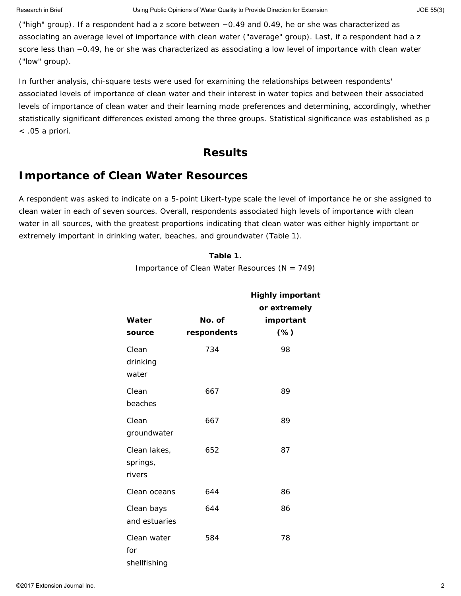("high" group). If a respondent had a *z* score between −0.49 and 0.49, he or she was characterized as associating an average level of importance with clean water ("average" group). Last, if a respondent had a *z* score less than −0.49, he or she was characterized as associating a low level of importance with clean water ("low" group).

In further analysis, chi-square tests were used for examining the relationships between respondents' associated levels of importance of clean water and their interest in water topics and between their associated levels of importance of clean water and their learning mode preferences and determining, accordingly, whether statistically significant differences existed among the three groups. Statistical significance was established as *p* < .05 a priori.

## **Results**

## **Importance of Clean Water Resources**

A respondent was asked to indicate on a 5-point Likert-type scale the level of importance he or she assigned to clean water in each of seven sources. Overall, respondents associated high levels of importance with clean water in all sources, with the greatest proportions indicating that clean water was either highly important or extremely important in drinking water, beaches, and groundwater (Table 1).

### **Table 1.**

Importance of Clean Water Resources (*N* = 749)

|                                    |                       | <b>Highly important</b><br>or extremely |
|------------------------------------|-----------------------|-----------------------------------------|
| Water<br>source                    | No. of<br>respondents | important<br>$(\%)$                     |
| Clean<br>drinking<br>water         | 734                   | 98                                      |
| Clean<br>beaches                   | 667                   | 89                                      |
| Clean<br>groundwater               | 667                   | 89                                      |
| Clean lakes,<br>springs,<br>rivers | 652                   | 87                                      |
| Clean oceans                       | 644                   | 86                                      |
| Clean bays<br>and estuaries        | 644                   | 86                                      |
| Clean water<br>for<br>shellfishing | 584                   | 78                                      |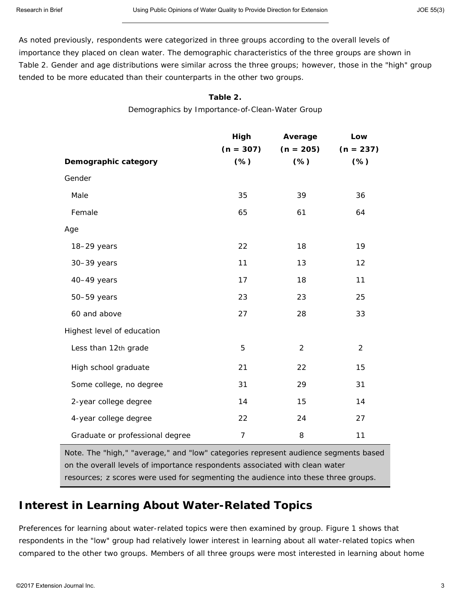As noted previously, respondents were categorized in three groups according to the overall levels of importance they placed on clean water. The demographic characteristics of the three groups are shown in Table 2. Gender and age distributions were similar across the three groups; however, those in the "high" group tended to be more educated than their counterparts in the other two groups.

#### **Table 2.**

Demographics by Importance-of-Clean-Water Group

|                                 | High        | Average        | Low            |
|---------------------------------|-------------|----------------|----------------|
|                                 | $(n = 307)$ | $(n = 205)$    | $(n = 237)$    |
| Demographic category            | $(*)$       | $(*)$          | $(*)$          |
| Gender                          |             |                |                |
| Male                            | 35          | 39             | 36             |
| Female                          | 65          | 61             | 64             |
| Age                             |             |                |                |
| 18-29 years                     | 22          | 18             | 19             |
| 30-39 years                     | 11          | 13             | 12             |
| 40-49 years                     | 17          | 18             | 11             |
| 50-59 years                     | 23          | 23             | 25             |
| 60 and above                    | 27          | 28             | 33             |
| Highest level of education      |             |                |                |
| Less than 12th grade            | 5           | $\overline{2}$ | $\overline{2}$ |
| High school graduate            | 21          | 22             | 15             |
| Some college, no degree         | 31          | 29             | 31             |
| 2-year college degree           | 14          | 15             | 14             |
| 4-year college degree           | 22          | 24             | 27             |
| Graduate or professional degree | 7           | 8              | 11             |

*Note.* The "high," "average," and "low" categories represent audience segments based on the overall levels of importance respondents associated with clean water resources; *z* scores were used for segmenting the audience into these three groups.

## **Interest in Learning About Water-Related Topics**

Preferences for learning about water-related topics were then examined by group. Figure 1 shows that respondents in the "low" group had relatively lower interest in learning about all water-related topics when compared to the other two groups. Members of all three groups were most interested in learning about home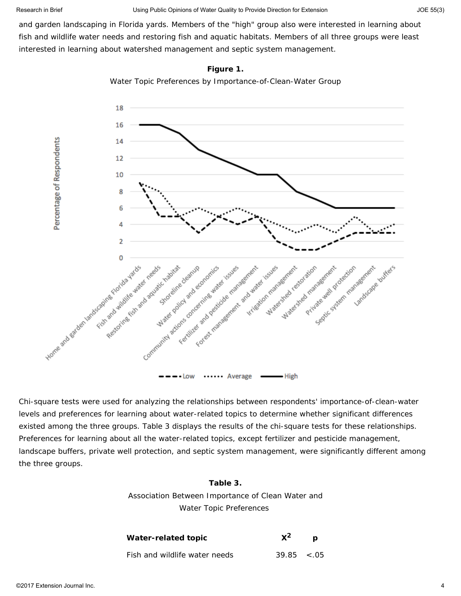and garden landscaping in Florida yards. Members of the "high" group also were interested in learning about fish and wildlife water needs and restoring fish and aquatic habitats. Members of all three groups were least interested in learning about watershed management and septic system management.



**Figure 1.**

Water Topic Preferences by Importance-of-Clean-Water Group

Chi-square tests were used for analyzing the relationships between respondents' importance-of-clean-water levels and preferences for learning about water-related topics to determine whether significant differences existed among the three groups. Table 3 displays the results of the chi-square tests for these relationships. Preferences for learning about all the water-related topics, except fertilizer and pesticide management, landscape buffers, private well protection, and septic system management, were significantly different among the three groups.

#### **Table 3.**

Association Between Importance of Clean Water and Water Topic Preferences

| Water-related topic           | $\mathsf{X}^2$   | $\boldsymbol{D}$ |
|-------------------------------|------------------|------------------|
| Fish and wildlife water needs | $39.85 \div .05$ |                  |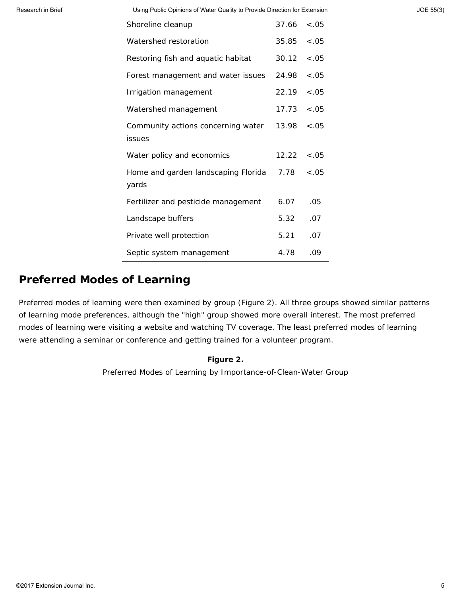Research in Brief **Extension** Using Public Opinions of Water Quality to Provide Direction for Extension JOE 55(3)

| Shoreline cleanup                                        | $37.66 \div .05$ |         |
|----------------------------------------------------------|------------------|---------|
| Watershed restoration                                    | 35.85 < .05      |         |
| Restoring fish and aquatic habitat                       | 30.12            | $-.05$  |
| Forest management and water issues                       | 24.98 < .05      |         |
| Irrigation management                                    | 22.19            | $< .05$ |
| Watershed management                                     | $17.73 \div .05$ |         |
| Community actions concerning water<br>issues             | 13.98            | $-.05$  |
| Water policy and economics                               | $12.22 \div .05$ |         |
| Home and garden landscaping Florida $7.78 < 05$<br>yards |                  |         |
| Fertilizer and pesticide management                      | 6.07             | .05     |
| Landscape buffers                                        | 5.32             | .07     |
| Private well protection                                  | 5.21             | .07     |
| Septic system management                                 | 4.78             | .09     |

## **Preferred Modes of Learning**

Preferred modes of learning were then examined by group (Figure 2). All three groups showed similar patterns of learning mode preferences, although the "high" group showed more overall interest. The most preferred modes of learning were visiting a website and watching TV coverage. The least preferred modes of learning were attending a seminar or conference and getting trained for a volunteer program.

## **Figure 2.**

Preferred Modes of Learning by Importance-of-Clean-Water Group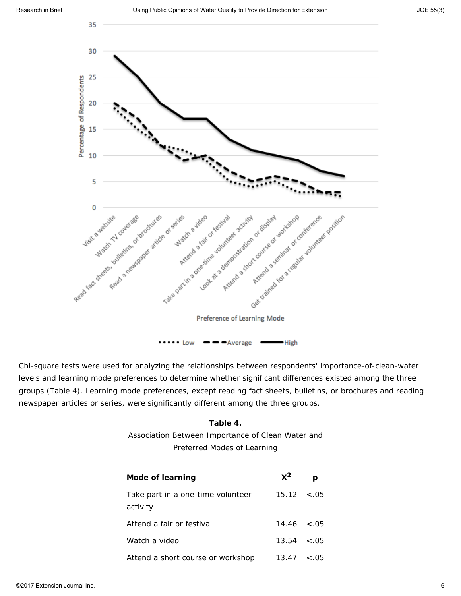

Chi-square tests were used for analyzing the relationships between respondents' importance-of-clean-water levels and learning mode preferences to determine whether significant differences existed among the three groups (Table 4). Learning mode preferences, except reading fact sheets, bulletins, or brochures and reading newspaper articles or series, were significantly different among the three groups.

#### **Table 4.**

Association Between Importance of Clean Water and Preferred Modes of Learning

| Mode of learning                              | $x^2$             |        |
|-----------------------------------------------|-------------------|--------|
| Take part in a one-time volunteer<br>activity | $15.12 \div 0.05$ |        |
| Attend a fair or festival                     | $14.46 \le 0.05$  |        |
| Watch a video                                 | $13.54 \div .05$  |        |
| Attend a short course or workshop             | 13.47             | < 0.05 |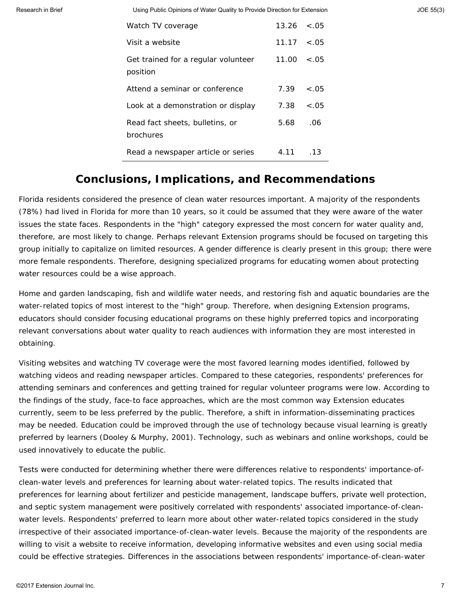Research in Brief **Extension** Using Public Opinions of Water Quality to Provide Direction for Extension JOE 55(3)

| Watch TV coverage                               | $13.26 \div 0.05$ |        |
|-------------------------------------------------|-------------------|--------|
| Visit a website                                 | $11.17 \t < .05$  |        |
| Get trained for a regular volunteer<br>position | $11.00 \le .05$   |        |
| Attend a seminar or conference                  | $7.39 \times .05$ |        |
| Look at a demonstration or display              | 7.38              | $-.05$ |
| Read fact sheets, bulletins, or<br>brochures    | 5.68              | .06    |
| Read a newspaper article or series              | 4.11              | .13    |

## **Conclusions, Implications, and Recommendations**

Florida residents considered the presence of clean water resources important. A majority of the respondents (78%) had lived in Florida for more than 10 years, so it could be assumed that they were aware of the water issues the state faces. Respondents in the "high" category expressed the most concern for water quality and, therefore, are most likely to change. Perhaps relevant Extension programs should be focused on targeting this group initially to capitalize on limited resources. A gender difference is clearly present in this group; there were more female respondents. Therefore, designing specialized programs for educating women about protecting water resources could be a wise approach.

Home and garden landscaping, fish and wildlife water needs, and restoring fish and aquatic boundaries are the water-related topics of most interest to the "high" group. Therefore, when designing Extension programs, educators should consider focusing educational programs on these highly preferred topics and incorporating relevant conversations about water quality to reach audiences with information they are most interested in obtaining.

Visiting websites and watching TV coverage were the most favored learning modes identified, followed by watching videos and reading newspaper articles. Compared to these categories, respondents' preferences for attending seminars and conferences and getting trained for regular volunteer programs were low. According to the findings of the study, face-to face approaches, which are the most common way Extension educates currently, seem to be less preferred by the public. Therefore, a shift in information-disseminating practices may be needed. Education could be improved through the use of technology because visual learning is greatly preferred by learners (Dooley & Murphy, 2001). Technology, such as webinars and online workshops, could be used innovatively to educate the public.

Tests were conducted for determining whether there were differences relative to respondents' importance-ofclean-water levels and preferences for learning about water-related topics. The results indicated that preferences for learning about fertilizer and pesticide management, landscape buffers, private well protection, and septic system management were positively correlated with respondents' associated importance-of-cleanwater levels. Respondents' preferred to learn more about other water-related topics considered in the study irrespective of their associated importance-of-clean-water levels. Because the majority of the respondents are willing to visit a website to receive information, developing informative websites and even using social media could be effective strategies. Differences in the associations between respondents' importance-of-clean-water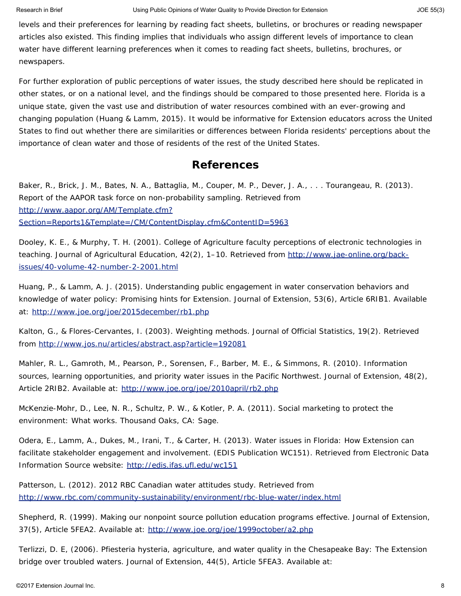levels and their preferences for learning by reading fact sheets, bulletins, or brochures or reading newspaper articles also existed. This finding implies that individuals who assign different levels of importance to clean water have different learning preferences when it comes to reading fact sheets, bulletins, brochures, or newspapers.

For further exploration of public perceptions of water issues, the study described here should be replicated in other states, or on a national level, and the findings should be compared to those presented here. Florida is a unique state, given the vast use and distribution of water resources combined with an ever-growing and changing population (Huang & Lamm, 2015). It would be informative for Extension educators across the United States to find out whether there are similarities or differences between Florida residents' perceptions about the importance of clean water and those of residents of the rest of the United States.

## **References**

Baker, R., Brick, J. M., Bates, N. A., Battaglia, M., Couper, M. P., Dever, J. A., . . . Tourangeau, R. (2013). *Report of the AAPOR task force on non-probability sampling.* Retrieved from [http://www.aapor.org/AM/Template.cfm?](http://www.aapor.org/AM/Template.cfm?Section=Reports1&Template=/CM/ContentDisplay.cfm&ContentID=5963) [Section=Reports1&Template=/CM/ContentDisplay.cfm&ContentID=5963](http://www.aapor.org/AM/Template.cfm?Section=Reports1&Template=/CM/ContentDisplay.cfm&ContentID=5963)

Dooley, K. E., & Murphy, T. H. (2001). College of Agriculture faculty perceptions of electronic technologies in teaching. *Journal of Agricultural Education*, *42*(2), 1–10. Retrieved from [http://www.jae-online.org/back](http://www.jae-online.org/back-issues/40-volume-42-number-2-2001.html)[issues/40-volume-42-number-2-2001.html](http://www.jae-online.org/back-issues/40-volume-42-number-2-2001.html)

Huang, P., & Lamm, A. J. (2015). Understanding public engagement in water conservation behaviors and knowledge of water policy: Promising hints for Extension. *Journal of Extension*, *53*(6), Article 6RIB1. Available at:<http://www.joe.org/joe/2015december/rb1.php>

Kalton, G., & Flores-Cervantes, I. (2003). Weighting methods. *Journal of Official Statistics*, *19*(2). Retrieved from<http://www.jos.nu/articles/abstract.asp?article=192081>

Mahler, R. L., Gamroth, M., Pearson, P., Sorensen, F., Barber, M. E., & Simmons, R. (2010). Information sources, learning opportunities, and priority water issues in the Pacific Northwest. *Journal of Extension*, *48*(2), Article 2RIB2. Available at:<http://www.joe.org/joe/2010april/rb2.php>

McKenzie-Mohr, D., Lee, N. R., Schultz, P. W., & Kotler, P. A. (2011). *Social marketing to protect the environment: What works.* Thousand Oaks, CA: Sage.

Odera, E., Lamm, A., Dukes, M., Irani, T., & Carter, H. (2013). *Water issues in Florida: How Extension can facilitate stakeholder engagement and involvement.* (EDIS Publication WC151). Retrieved from Electronic Data Information Source website:<http://edis.ifas.ufl.edu/wc151>

Patterson, L. (2012). *2012 RBC Canadian water attitudes study*. Retrieved from <http://www.rbc.com/community-sustainability/environment/rbc-blue-water/index.html>

Shepherd, R. (1999). Making our nonpoint source pollution education programs effective. *Journal of Extension*, *37*(5), Article 5FEA2. Available at:<http://www.joe.org/joe/1999october/a2.php>

Terlizzi, D. E, (2006). *Pfiesteria* hysteria, agriculture, and water quality in the Chesapeake Bay: The Extension bridge over troubled waters. *Journal of Extension*, *44*(5), Article 5FEA3. Available at: